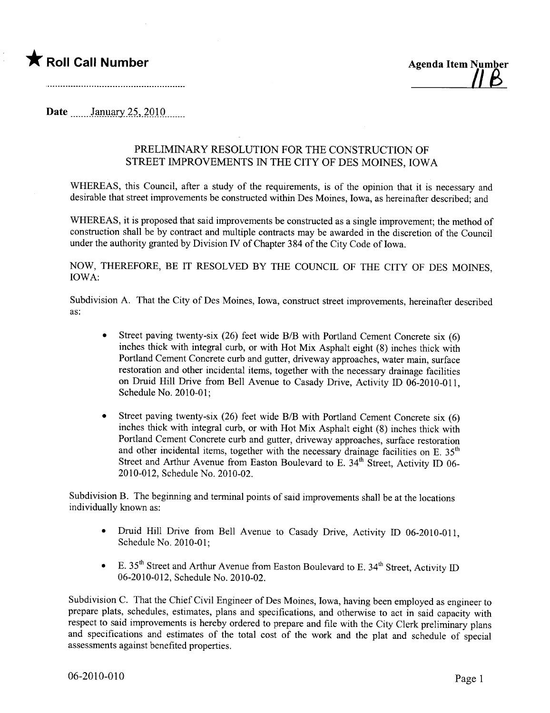

Date January 25, 2010

## PRELIMINARY RESOLUTION FOR THE CONSTRUCTION OF STREET IMPROVEMENTS IN THE CITY OF DES MOINES, IOWA

WHEREAS, this Council, after a study of the requirements, is of the opinion that it is necessary and desirable that street improvements be constructed within Des Moines, Iowa, as hereinafter described; and

WHEREAS, it is proposed that said improvements be constructed as a single improvement; the method of construction shall be by contract and multiple contracts may be awarded in the discretion of the Council under the authority granted by Division IV of Chapter 384 of the City Code of Iowa.

NOW, THEREFORE, BE IT RESOLVED BY THE COUNCIL OF THE CITY OF DES MOINES, IOWA:

Subdivision A. That the City of Des Moines, Iowa, construct street improvements, hereinafter described as:

- Street paving twenty-six (26) feet wide B/B with Portland Cement Concrete six (6) inches thick with integral curb, or with Hot Mix Asphalt eight (8) inches thick with Portland Cement Concrete curb and gutter, driveway approaches, water main, surface restoration and other incidental items, together with the necessary drainage facilities on Druid Hill Drive from Bell Avenue to Casady Drive, Activity ID 06-2010-011, Schedule No. 2010-01;
- Street paving twenty-six (26) feet wide B/B with Portland Cement Concrete six  $(6)$ inches thick with integral curb, or with Hot Mix Asphalt eight (8) inches thick with Portland Cement Concrete curb and gutter, driveway approaches, surface restoration and other incidental items, together with the necessary drainage facilities on E.  $35<sup>th</sup>$ Street and Arthur Avenue from Easton Boulevard to E.  $34<sup>th</sup>$  Street, Activity ID 06-2010-012, Schedule No. 2010-02.

Subdivision B. The beginning and terminal points of said improvements shall be at the locations individually known as:

- Druid Hill Drive from Bell Avenue to Casady Drive, Activity ID 06-2010-011, Schedule No. 2010-01;
- E.  $35<sup>th</sup>$  Street and Arthur Avenue from Easton Boulevard to E.  $34<sup>th</sup>$  Street, Activity ID 06-2010-012, Schedule No. 2010-02.

Subdivision C. That the Chief Civil Engineer of Des Moines, Iowa, having been employed as engineer to prepare plats, schedules, estimates, plans and specifications, and otherwise to act in said capacity with respect to said improvements is hereby ordered to prepare and file with the City Clerk preliminary plans and specifications and estimates of the total cost of the work and the plat and schedule of special assessments against benefited properties.